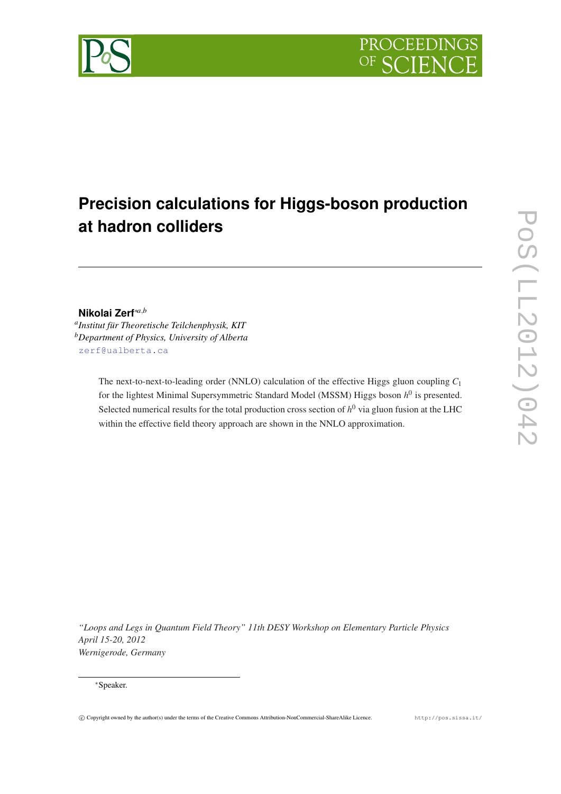

# **Precision calculations for Higgs-boson production at hadron colliders**

## **Nikolai Zerf**∗*a*,*<sup>b</sup>*

*a Institut für Theoretische Teilchenphysik, KIT <sup>b</sup>Department of Physics, University of Alberta* [zerf@ualberta.ca](mailto:zerf@ualberta.ca)

> The next-to-next-to-leading order (NNLO) calculation of the effective Higgs gluon coupling *C*<sup>1</sup> for the lightest Minimal Supersymmetric Standard Model (MSSM) Higgs boson  $h^0$  is presented. Selected numerical results for the total production cross section of  $h^0$  via gluon fusion at the LHC within the effective field theory approach are shown in the NNLO approximation.

*"Loops and Legs in Quantum Field Theory" 11th DESY Workshop on Elementary Particle Physics April 15-20, 2012 Wernigerode, Germany*

#### <sup>∗</sup>Speaker.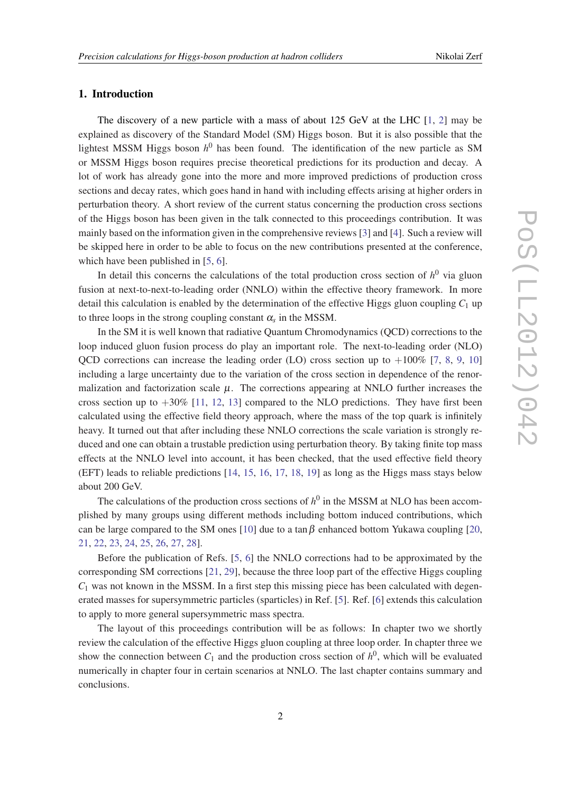#### 1. Introduction

The discovery of a new particle with a mass of about 125 GeV at the LHC [[1](#page-7-0), [2](#page-7-0)] may be explained as discovery of the Standard Model (SM) Higgs boson. But it is also possible that the lightest MSSM Higgs boson *h* <sup>0</sup> has been found. The identification of the new particle as SM or MSSM Higgs boson requires precise theoretical predictions for its production and decay. A lot of work has already gone into the more and more improved predictions of production cross sections and decay rates, which goes hand in hand with including effects arising at higher orders in perturbation theory. A short review of the current status concerning the production cross sections of the Higgs boson has been given in the talk connected to this proceedings contribution. It was mainly based on the information given in the comprehensive reviews [[3](#page-7-0)] and [[4\]](#page-7-0). Such a review will be skipped here in order to be able to focus on the new contributions presented at the conference, which have been published in [[5](#page-7-0), [6](#page-7-0)].

In detail this concerns the calculations of the total production cross section of  $h^0$  via gluon fusion at next-to-next-to-leading order (NNLO) within the effective theory framework. In more detail this calculation is enabled by the determination of the effective Higgs gluon coupling  $C_1$  up to three loops in the strong coupling constant  $\alpha_s$  in the MSSM.

In the SM it is well known that radiative Quantum Chromodynamics (QCD) corrections to the loop induced gluon fusion process do play an important role. The next-to-leading order (NLO) OCD corrections can increase the leading order (LO) cross section up to  $+100\%$  $+100\%$  $+100\%$  [\[7,](#page-7-0) [8](#page-7-0), [9,](#page-7-0) 10] including a large uncertainty due to the variation of the cross section in dependence of the renormalization and factorization scale  $\mu$ . The corrections appearing at NNLO further increases the cross section up to  $+30\%$  [\[11](#page-7-0), [12](#page-7-0), [13\]](#page-8-0) compared to the NLO predictions. They have first been calculated using the effective field theory approach, where the mass of the top quark is infinitely heavy. It turned out that after including these NNLO corrections the scale variation is strongly reduced and one can obtain a trustable prediction using perturbation theory. By taking finite top mass effects at the NNLO level into account, it has been checked, that the used effective field theory (EFT) leads to reliable predictions [\[14](#page-8-0), [15](#page-8-0), [16,](#page-8-0) [17,](#page-8-0) [18](#page-8-0), [19](#page-8-0)] as long as the Higgs mass stays below about 200 GeV.

The calculations of the production cross sections of  $h^0$  in the MSSM at NLO has been accomplished by many groups using different methods including bottom induced contributions, which can be large compared to the SM ones [[10\]](#page-7-0) due to a tan  $\beta$  enhanced bottom Yukawa coupling [\[20](#page-8-0), [21](#page-8-0), [22,](#page-8-0) [23,](#page-8-0) [24](#page-8-0), [25,](#page-8-0) [26](#page-8-0), [27](#page-8-0), [28\]](#page-8-0).

Before the publication of Refs. [[5](#page-7-0), [6\]](#page-7-0) the NNLO corrections had to be approximated by the corresponding SM corrections [[21,](#page-8-0) [29\]](#page-8-0), because the three loop part of the effective Higgs coupling  $C_1$  was not known in the MSSM. In a first step this missing piece has been calculated with degenerated masses for supersymmetric particles (sparticles) in Ref. [\[5](#page-7-0)]. Ref. [[6](#page-7-0)] extends this calculation to apply to more general supersymmetric mass spectra.

The layout of this proceedings contribution will be as follows: In chapter two we shortly review the calculation of the effective Higgs gluon coupling at three loop order. In chapter three we show the connection between  $C_1$  and the production cross section of  $h^0$ , which will be evaluated numerically in chapter four in certain scenarios at NNLO. The last chapter contains summary and conclusions.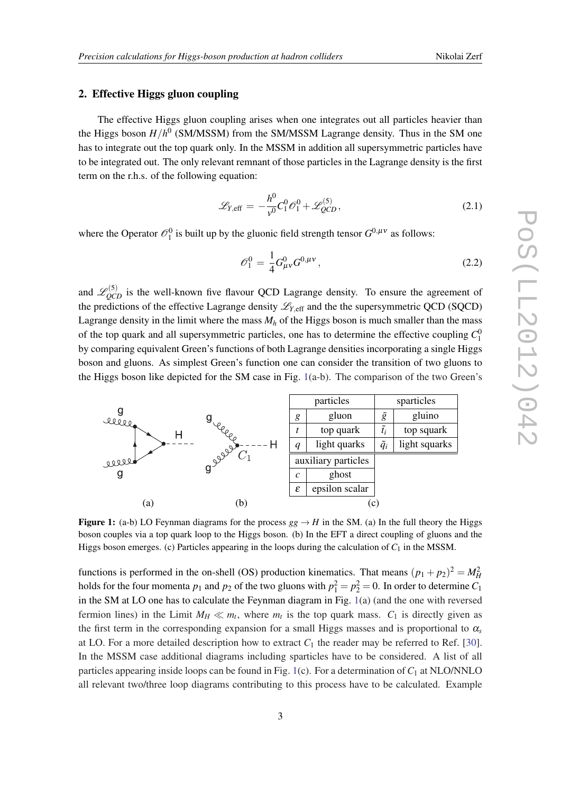#### 2. Effective Higgs gluon coupling

The effective Higgs gluon coupling arises when one integrates out all particles heavier than the Higgs boson *H*/*h* 0 (SM/MSSM) from the SM/MSSM Lagrange density. Thus in the SM one has to integrate out the top quark only. In the MSSM in addition all supersymmetric particles have to be integrated out. The only relevant remnant of those particles in the Lagrange density is the first term on the r.h.s. of the following equation:

$$
\mathcal{L}_{Y,\text{eff}} = -\frac{h^0}{v^0} C_1^0 \mathcal{O}_1^0 + \mathcal{L}_{QCD}^{(5)}, \tag{2.1}
$$

where the Operator  $\mathcal{O}_1^0$  is built up by the gluonic field strength tensor  $G^{0,\mu\nu}$  as follows:

$$
\mathscr{O}_1^0 = \frac{1}{4} G_{\mu\nu}^0 G^{0,\mu\nu},\tag{2.2}
$$

and  $\mathcal{L}_{QCD}^{(5)}$  is the well-known five flavour QCD Lagrange density. To ensure the agreement of the predictions of the effective Lagrange density  $\mathcal{L}_{Y, \text{eff}}$  and the the supersymmetric QCD (SQCD) Lagrange density in the limit where the mass  $M_h$  of the Higgs boson is much smaller than the mass of the top quark and all supersymmetric particles, one has to determine the effective coupling  $C_1^0$ by comparing equivalent Green's functions of both Lagrange densities incorporating a single Higgs boson and gluons. As simplest Green's function one can consider the transition of two gluons to the Higgs boson like depicted for the SM case in Fig. 1(a-b). The comparison of the two Green's



**Figure 1:** (a-b) LO Feynman diagrams for the process  $gg \to H$  in the SM. (a) In the full theory the Higgs boson couples via a top quark loop to the Higgs boson. (b) In the EFT a direct coupling of gluons and the Higgs boson emerges. (c) Particles appearing in the loops during the calculation of  $C_1$  in the MSSM.

functions is performed in the on-shell (OS) production kinematics. That means  $(p_1 + p_2)^2 = M_H^2$ holds for the four momenta  $p_1$  and  $p_2$  of the two gluons with  $p_1^2 = p_2^2 = 0$ . In order to determine  $C_1$ in the SM at LO one has to calculate the Feynman diagram in Fig. 1(a) (and the one with reversed fermion lines) in the Limit  $M_H \ll m_t$ , where  $m_t$  is the top quark mass.  $C_1$  is directly given as the first term in the corresponding expansion for a small Higgs masses and is proportional to α*<sup>s</sup>* at LO. For a more detailed description how to extract  $C_1$  the reader may be referred to Ref. [[30\]](#page-8-0). In the MSSM case additional diagrams including sparticles have to be considered. A list of all particles appearing inside loops can be found in Fig. 1(c). For a determination of  $C_1$  at NLO/NNLO all relevant two/three loop diagrams contributing to this process have to be calculated. Example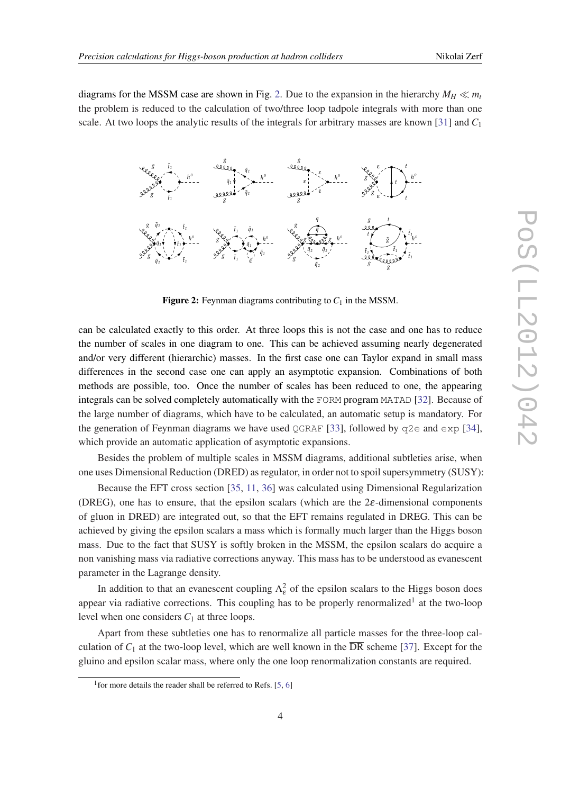diagrams for the MSSM case are shown in Fig. 2. Due to the expansion in the hierarchy  $M_H \ll m_t$ the problem is reduced to the calculation of two/three loop tadpole integrals with more than one scale. At two loops the analytic results of the integrals for arbitrary masses are known [\[31](#page-8-0)] and *C*<sup>1</sup>



**Figure 2:** Feynman diagrams contributing to  $C_1$  in the MSSM.

can be calculated exactly to this order. At three loops this is not the case and one has to reduce the number of scales in one diagram to one. This can be achieved assuming nearly degenerated and/or very different (hierarchic) masses. In the first case one can Taylor expand in small mass differences in the second case one can apply an asymptotic expansion. Combinations of both methods are possible, too. Once the number of scales has been reduced to one, the appearing integrals can be solved completely automatically with the FORM program MATAD [\[32](#page-8-0)]. Because of the large number of diagrams, which have to be calculated, an automatic setup is mandatory. For the generation of Feynman diagrams we have used QGRAF [\[33](#page-8-0)], followed by  $q2e$  and  $exp$  [[34\]](#page-8-0), which provide an automatic application of asymptotic expansions.

Besides the problem of multiple scales in MSSM diagrams, additional subtleties arise, when one uses Dimensional Reduction (DRED) as regulator, in order not to spoil supersymmetry (SUSY):

Because the EFT cross section [[35,](#page-8-0) [11](#page-7-0), [36\]](#page-8-0) was calculated using Dimensional Regularization (DREG), one has to ensure, that the epsilon scalars (which are the  $2\varepsilon$ -dimensional components of gluon in DRED) are integrated out, so that the EFT remains regulated in DREG. This can be achieved by giving the epsilon scalars a mass which is formally much larger than the Higgs boson mass. Due to the fact that SUSY is softly broken in the MSSM, the epsilon scalars do acquire a non vanishing mass via radiative corrections anyway. This mass has to be understood as evanescent parameter in the Lagrange density.

In addition to that an evanescent coupling  $\Lambda_{\varepsilon}^2$  of the epsilon scalars to the Higgs boson does appear via radiative corrections. This coupling has to be properly renormalized<sup>1</sup> at the two-loop level when one considers *C*<sup>1</sup> at three loops.

Apart from these subtleties one has to renormalize all particle masses for the three-loop calculation of  $C_1$  at the two-loop level, which are well known in the  $\overline{DR}$  scheme [\[37](#page-8-0)]. Except for the gluino and epsilon scalar mass, where only the one loop renormalization constants are required.

<sup>&</sup>lt;sup>1</sup> for more details the reader shall be referred to Refs. [\[5,](#page-7-0) [6\]](#page-7-0)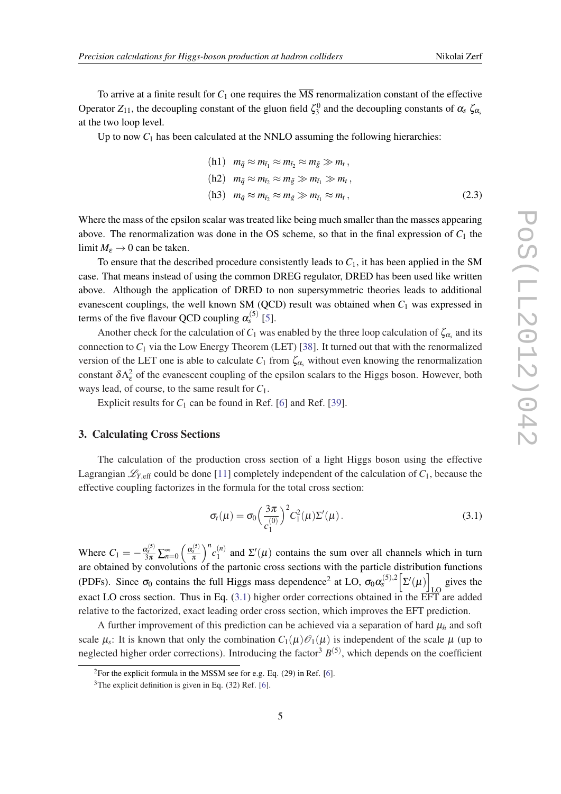<span id="page-4-0"></span>To arrive at a finite result for  $C_1$  one requires the  $\overline{\text{MS}}$  renormalization constant of the effective Operator  $Z_{11}$ , the decoupling constant of the gluon field  $\zeta_3^0$  and the decoupling constants of  $\alpha_s$   $\zeta_{\alpha_s}$ at the two loop level.

Up to now  $C_1$  has been calculated at the NNLO assuming the following hierarchies:

(h1) 
$$
m_{\tilde{q}} \approx m_{\tilde{t}_1} \approx m_{\tilde{t}_2} \approx m_{\tilde{g}} \gg m_t
$$
,  
\n(h2)  $m_{\tilde{q}} \approx m_{\tilde{t}_2} \approx m_{\tilde{g}} \gg m_{\tilde{t}_1} \gg m_t$ ,  
\n(h3)  $m_{\tilde{q}} \approx m_{\tilde{t}_2} \approx m_{\tilde{g}} \gg m_{\tilde{t}_1} \approx m_t$ , (2.3)

Where the mass of the epsilon scalar was treated like being much smaller than the masses appearing above. The renormalization was done in the OS scheme, so that in the final expression of  $C_1$  the limit  $M_{\varepsilon} \to 0$  can be taken.

To ensure that the described procedure consistently leads to  $C_1$ , it has been applied in the SM case. That means instead of using the common DREG regulator, DRED has been used like written above. Although the application of DRED to non supersymmetric theories leads to additional evanescent couplings, the well known SM (QCD) result was obtained when  $C_1$  was expressed in terms of the five flavour QCD coupling  $\alpha_s^{(5)}$  [[5\]](#page-7-0).

Another check for the calculation of  $C_1$  was enabled by the three loop calculation of  $\zeta_{\alpha_s}$  and its connection to *C*<sup>1</sup> via the Low Energy Theorem (LET) [\[38](#page-8-0)]. It turned out that with the renormalized version of the LET one is able to calculate  $C_1$  from  $\zeta_{\alpha_s}$  without even knowing the renormalization constant  $\delta \Lambda_{\varepsilon}^2$  of the evanescent coupling of the epsilon scalars to the Higgs boson. However, both ways lead, of course, to the same result for *C*1.

Explicit results for  $C_1$  can be found in Ref. [\[6\]](#page-7-0) and Ref. [[39](#page-8-0)].

#### 3. Calculating Cross Sections

The calculation of the production cross section of a light Higgs boson using the effective Lagrangian  $\mathcal{L}_{Y, \text{eff}}$  could be done [[11\]](#page-7-0) completely independent of the calculation of  $C_1$ , because the effective coupling factorizes in the formula for the total cross section:

$$
\sigma_t(\mu) = \sigma_0 \left(\frac{3\pi}{c_1^{(0)}}\right)^2 C_1^2(\mu) \Sigma'(\mu).
$$
\n(3.1)

Where  $C_1 = -\frac{\alpha_s^{(5)}}{3\pi} \sum_{n=0}^{\infty} \left( \frac{\alpha_s^{(5)}}{\pi} \right)$  $\int_0^n c_1^{(n)}$  $\sum_{1}^{(n)}$  and  $\Sigma'(\mu)$  contains the sum over all channels which in turn are obtained by convolutions of the partonic cross sections with the particle distribution functions (PDFs). Since  $\sigma_0$  contains the full Higgs mass dependence<sup>2</sup> at LO,  $\sigma_0 \alpha_s^{(5),2} [\Sigma'(\mu)]$  gives the exact LO cross section. Thus in Eq.  $(3.1)$  higher order corrections obtained in the EFT are added relative to the factorized, exact leading order cross section, which improves the EFT prediction.

A further improvement of this prediction can be achieved via a separation of hard  $\mu_h$  and soft scale  $\mu_s$ : It is known that only the combination  $C_1(\mu)\mathcal{O}_1(\mu)$  is independent of the scale  $\mu$  (up to neglected higher order corrections). Introducing the factor<sup>3</sup>  $B^{(5)}$ , which depends on the coefficient

<sup>&</sup>lt;sup>2</sup>For the explicit formula in the MSSM see for e.g. Eq. (29) in Ref. [\[6\]](#page-7-0).

 $3$ The explicit definition is given in Eq. (32) Ref. [[6](#page-7-0)].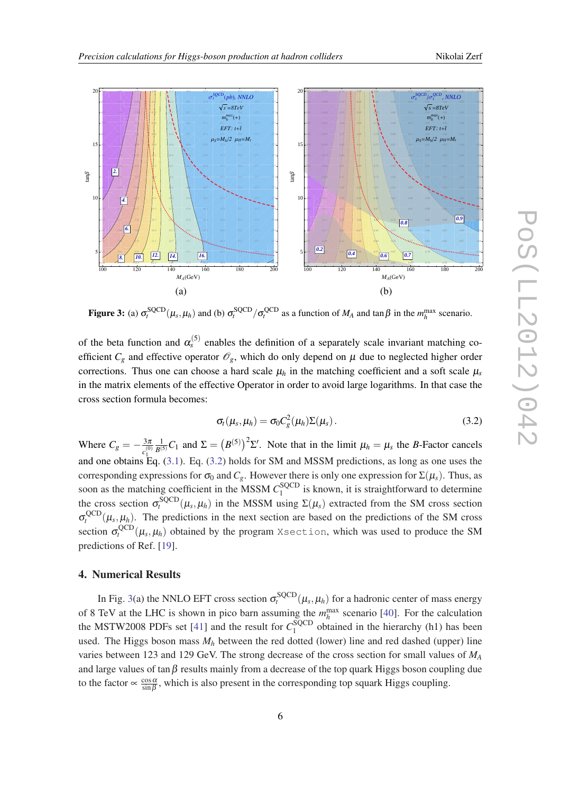<span id="page-5-0"></span>

**Figure 3:** (a)  $\sigma_t^{\text{SQCD}}(\mu_s, \mu_h)$  and (b)  $\sigma_t^{\text{SQCD}}/\sigma_t^{\text{QCD}}$  as a function of  $M_A$  and tan  $\beta$  in the  $m_h^{\text{max}}$  scenario.

of the beta function and  $\alpha_s^{(5)}$  enables the definition of a separately scale invariant matching coefficient  $C_g$  and effective operator  $\mathcal{O}_g$ , which do only depend on  $\mu$  due to neglected higher order corrections. Thus one can choose a hard scale  $\mu_h$  in the matching coefficient and a soft scale  $\mu_s$ in the matrix elements of the effective Operator in order to avoid large logarithms. In that case the cross section formula becomes:

$$
\sigma_t(\mu_s, \mu_h) = \sigma_0 C_g^2(\mu_h) \Sigma(\mu_s).
$$
\n(3.2)

Where  $C_g = -\frac{3\pi}{0}$  $\frac{3\pi}{c_1^{(0)}} \frac{1}{B^{(5)}} C_1$  and  $\Sigma = (B^{(5)})^2 \Sigma'$ . Note that in the limit  $\mu_h = \mu_s$  the *B*-Factor cancels and one obtains Eq.  $(3.1)$  $(3.1)$  $(3.1)$ . Eq.  $(3.2)$  holds for SM and MSSM predictions, as long as one uses the corresponding expressions for  $\sigma_0$  and  $C_g$ . However there is only one expression for  $\Sigma(\mu_s)$ . Thus, as soon as the matching coefficient in the MSSM  $C_1^{\text{SQCD}}$  $\frac{1}{1}$  is known, it is straightforward to determine the cross section  $\sigma_t^{\text{SQCD}}(\mu_s, \mu_h)$  in the MSSM using  $\Sigma(\mu_s)$  extracted from the SM cross section  $\sigma_t^{\text{QCD}}(\mu_s, \mu_h)$ . The predictions in the next section are based on the predictions of the SM cross section  $\sigma_t^{\rm QCD}(\mu_s,\mu_h)$  obtained by the program Xsection, which was used to produce the SM predictions of Ref. [\[19](#page-8-0)].

### 4. Numerical Results

In Fig. 3(a) the NNLO EFT cross section  $\sigma_t^{\text{SQCD}}(\mu_s, \mu_h)$  for a hadronic center of mass energy of 8 TeV at the LHC is shown in pico barn assuming the  $m_h^{\text{max}}$  scenario [\[40\]](#page-8-0). For the calculation the MSTW2008 PDFs set [[41\]](#page-8-0) and the result for  $C_1^{\text{SQCD}}$  $1<sup>1</sup>$  obtained in the hierarchy (h1) has been used. The Higgs boson mass  $M_h$  between the red dotted (lower) line and red dashed (upper) line varies between 123 and 129 GeV. The strong decrease of the cross section for small values of *M<sup>A</sup>* and large values of tan $\beta$  results mainly from a decrease of the top quark Higgs boson coupling due to the factor  $\propto \frac{\cos \alpha}{\sin \beta}$  $\frac{\cos \alpha}{\sin \beta}$ , which is also present in the corresponding top squark Higgs coupling.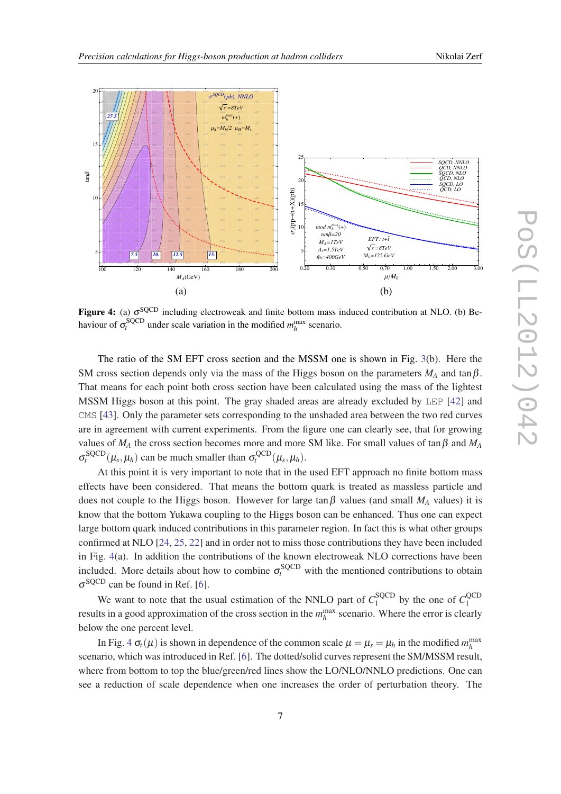

**Figure 4:** (a)  $\sigma^{\text{SQCD}}$  including electroweak and finite bottom mass induced contribution at NLO. (b) Behaviour of  $\sigma_t^{\text{SQCD}}$  under scale variation in the modified  $m_h^{\text{max}}$  scenario.

The ratio of the SM EFT cross section and the MSSM one is shown in Fig. [3](#page-5-0)(b). Here the SM cross section depends only via the mass of the Higgs boson on the parameters  $M_A$  and tan  $\beta$ . That means for each point both cross section have been calculated using the mass of the lightest MSSM Higgs boson at this point. The gray shaded areas are already excluded by LEP [\[42](#page-8-0)] and CMS [\[43](#page-8-0)]. Only the parameter sets corresponding to the unshaded area between the two red curves are in agreement with current experiments. From the figure one can clearly see, that for growing values of  $M_A$  the cross section becomes more and more SM like. For small values of tan  $\beta$  and  $M_A$  $\sigma_t^{\text{SQCD}}(\mu_s, \mu_h)$  can be much smaller than  $\sigma_t^{\text{QCD}}(\mu_s, \mu_h)$ .

At this point it is very important to note that in the used EFT approach no finite bottom mass effects have been considered. That means the bottom quark is treated as massless particle and does not couple to the Higgs boson. However for large tan  $\beta$  values (and small  $M_A$  values) it is know that the bottom Yukawa coupling to the Higgs boson can be enhanced. Thus one can expect large bottom quark induced contributions in this parameter region. In fact this is what other groups confirmed at NLO [[24,](#page-8-0) [25,](#page-8-0) [22\]](#page-8-0) and in order not to miss those contributions they have been included in Fig. 4(a). In addition the contributions of the known electroweak NLO corrections have been included. More details about how to combine  $\sigma_t^{\text{SQCD}}$  with the mentioned contributions to obtain  $\sigma^{\text{SQCD}}$  can be found in Ref. [[6](#page-7-0)].

We want to note that the usual estimation of the NNLO part of  $C_1^{\text{SQCD}}$  $I_1^{\text{SQCD}}$  by the one of  $C_1^{\text{QCD}}$ 1 results in a good approximation of the cross section in the  $m_h^{\text{max}}$  scenario. Where the error is clearly below the one percent level.

In Fig. 4  $\sigma_t(\mu)$  is shown in dependence of the common scale  $\mu = \mu_s = \mu_h$  in the modified  $m_h^{\max}$ scenario, which was introduced in Ref. [\[6\]](#page-7-0). The dotted/solid curves represent the SM/MSSM result, where from bottom to top the blue/green/red lines show the LO/NLO/NNLO predictions. One can see a reduction of scale dependence when one increases the order of perturbation theory. The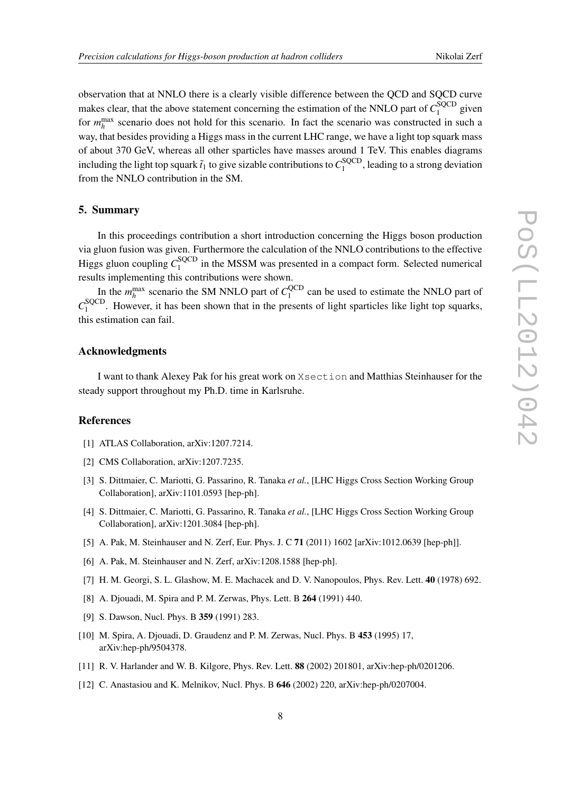<span id="page-7-0"></span>observation that at NNLO there is a clearly visible difference between the QCD and SQCD curve makes clear, that the above statement concerning the estimation of the NNLO part of  $C_1^{\text{SQCD}}$  $I_1^{\text{SQCD}}$  given for  $m_h^{\text{max}}$  scenario does not hold for this scenario. In fact the scenario was constructed in such a way, that besides providing a Higgs mass in the current LHC range, we have a light top squark mass of about 370 GeV, whereas all other sparticles have masses around 1 TeV. This enables diagrams including the light top squark  $\tilde{t}_1$  to give sizable contributions to  $C_1^{\rm SQCD}$  $_1^{\text{15QCD}}$ , leading to a strong deviation from the NNLO contribution in the SM.

#### 5. Summary

In this proceedings contribution a short introduction concerning the Higgs boson production via gluon fusion was given. Furthermore the calculation of the NNLO contributions to the effective Higgs gluon coupling  $C_1^{\text{SQCD}}$  $_{1}^{\text{SQCD}}$  in the MSSM was presented in a compact form. Selected numerical results implementing this contributions were shown.

In the  $m_h^{\text{max}}$  scenario the SM NNLO part of  $C_1^{\text{QCD}}$  $1<sup>QCD</sup>$  can be used to estimate the NNLO part of  $C_1^{\rm SQCD}$  $1<sup>1</sup>$ . However, it has been shown that in the presents of light sparticles like light top squarks, this estimation can fail.

#### Acknowledgments

I want to thank Alexey Pak for his great work on Xsection and Matthias Steinhauser for the steady support throughout my Ph.D. time in Karlsruhe.

#### **References**

- [1] ATLAS Collaboration, arXiv:1207.7214.
- [2] CMS Collaboration, arXiv:1207.7235.
- [3] S. Dittmaier, C. Mariotti, G. Passarino, R. Tanaka *et al.*, [LHC Higgs Cross Section Working Group Collaboration], arXiv:1101.0593 [hep-ph].
- [4] S. Dittmaier, C. Mariotti, G. Passarino, R. Tanaka *et al.*, [LHC Higgs Cross Section Working Group Collaboration], arXiv:1201.3084 [hep-ph].
- [5] A. Pak, M. Steinhauser and N. Zerf, Eur. Phys. J. C 71 (2011) 1602 [arXiv:1012.0639 [hep-ph]].
- [6] A. Pak, M. Steinhauser and N. Zerf, arXiv:1208.1588 [hep-ph].
- [7] H. M. Georgi, S. L. Glashow, M. E. Machacek and D. V. Nanopoulos, Phys. Rev. Lett. 40 (1978) 692.
- [8] A. Djouadi, M. Spira and P. M. Zerwas, Phys. Lett. B 264 (1991) 440.
- [9] S. Dawson, Nucl. Phys. B 359 (1991) 283.
- [10] M. Spira, A. Djouadi, D. Graudenz and P. M. Zerwas, Nucl. Phys. B 453 (1995) 17, arXiv:hep-ph/9504378.
- [11] R. V. Harlander and W. B. Kilgore, Phys. Rev. Lett. 88 (2002) 201801, arXiv:hep-ph/0201206.
- [12] C. Anastasiou and K. Melnikov, Nucl. Phys. B 646 (2002) 220, arXiv:hep-ph/0207004.